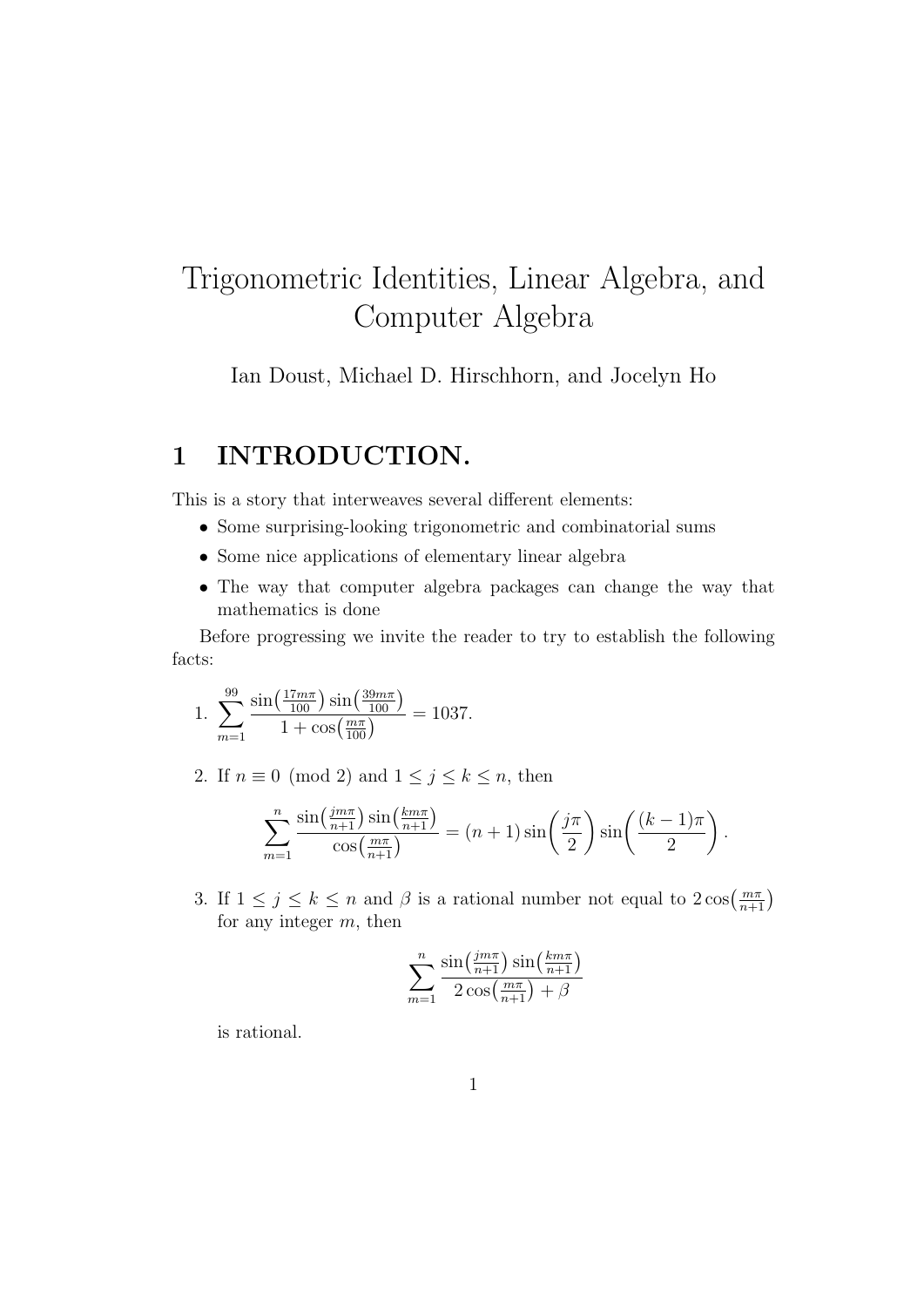# Trigonometric Identities, Linear Algebra, and Computer Algebra

Ian Doust, Michael D. Hirschhorn, and Jocelyn Ho

### 1 INTRODUCTION.

This is a story that interweaves several different elements:

- Some surprising-looking trigonometric and combinatorial sums
- Some nice applications of elementary linear algebra
- The way that computer algebra packages can change the way that mathematics is done

Before progressing we invite the reader to try to establish the following facts:

1. 
$$
\sum_{m=1}^{99} \frac{\sin\left(\frac{17m\pi}{100}\right) \sin\left(\frac{39m\pi}{100}\right)}{1 + \cos\left(\frac{m\pi}{100}\right)} = 1037.
$$

2. If  $n \equiv 0 \pmod{2}$  and  $1 \leq j \leq k \leq n$ , then

$$
\sum_{m=1}^{n} \frac{\sin\left(\frac{jm\pi}{n+1}\right)\sin\left(\frac{km\pi}{n+1}\right)}{\cos\left(\frac{m\pi}{n+1}\right)} = (n+1)\sin\left(\frac{j\pi}{2}\right)\sin\left(\frac{(k-1)\pi}{2}\right).
$$

3. If  $1 \leq j \leq k \leq n$  and  $\beta$  is a rational number not equal to  $2 \cos(\frac{m\pi}{n+1})$ for any integer  $m$ , then

$$
\sum_{m=1}^{n} \frac{\sin\left(\frac{jm\pi}{n+1}\right)\sin\left(\frac{km\pi}{n+1}\right)}{2\cos\left(\frac{m\pi}{n+1}\right) + \beta}
$$

is rational.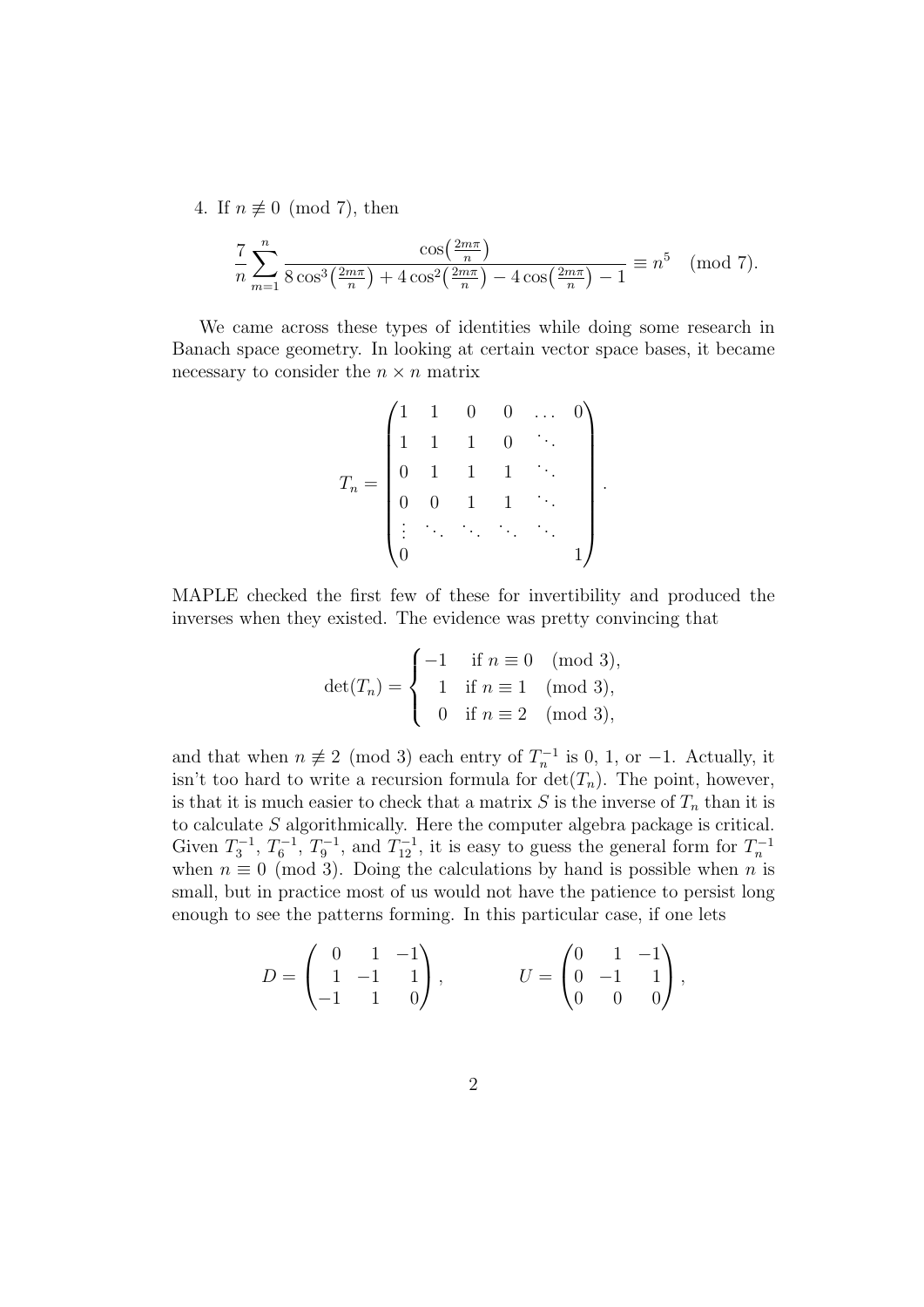4. If  $n \not\equiv 0 \pmod{7}$ , then

$$
\frac{7}{n} \sum_{m=1}^{n} \frac{\cos(\frac{2m\pi}{n})}{8\cos^{3}(\frac{2m\pi}{n}) + 4\cos^{2}(\frac{2m\pi}{n}) - 4\cos(\frac{2m\pi}{n}) - 1} \equiv n^{5} \pmod{7}.
$$

We came across these types of identities while doing some research in Banach space geometry. In looking at certain vector space bases, it became necessary to consider the  $n \times n$  matrix

$$
T_n = \begin{pmatrix} 1 & 1 & 0 & 0 & \dots & 0 \\ 1 & 1 & 1 & 0 & \ddots & \\ 0 & 1 & 1 & 1 & \ddots & \\ 0 & 0 & 1 & 1 & \ddots & \\ \vdots & \ddots & \ddots & \ddots & \ddots & \\ 0 & & & & & 1 \end{pmatrix}
$$

.

MAPLE checked the first few of these for invertibility and produced the inverses when they existed. The evidence was pretty convincing that

$$
\det(T_n) = \begin{cases}\n-1 & \text{if } n \equiv 0 \pmod{3}, \\
1 & \text{if } n \equiv 1 \pmod{3}, \\
0 & \text{if } n \equiv 2 \pmod{3},\n\end{cases}
$$

and that when  $n \neq 2 \pmod{3}$  each entry of  $T_n^{-1}$  is 0, 1, or -1. Actually, it isn't too hard to write a recursion formula for  $\det(T_n)$ . The point, however, is that it is much easier to check that a matrix  $S$  is the inverse of  $T_n$  than it is to calculate S algorithmically. Here the computer algebra package is critical. Given  $T_3^{-1}$ ,  $T_6^{-1}$ ,  $T_9^{-1}$ , and  $T_{12}^{-1}$ , it is easy to guess the general form for  $T_n^{-1}$ when  $n \equiv 0 \pmod{3}$ . Doing the calculations by hand is possible when n is small, but in practice most of us would not have the patience to persist long enough to see the patterns forming. In this particular case, if one lets

$$
D = \begin{pmatrix} 0 & 1 & -1 \\ 1 & -1 & 1 \\ -1 & 1 & 0 \end{pmatrix}, \qquad U = \begin{pmatrix} 0 & 1 & -1 \\ 0 & -1 & 1 \\ 0 & 0 & 0 \end{pmatrix},
$$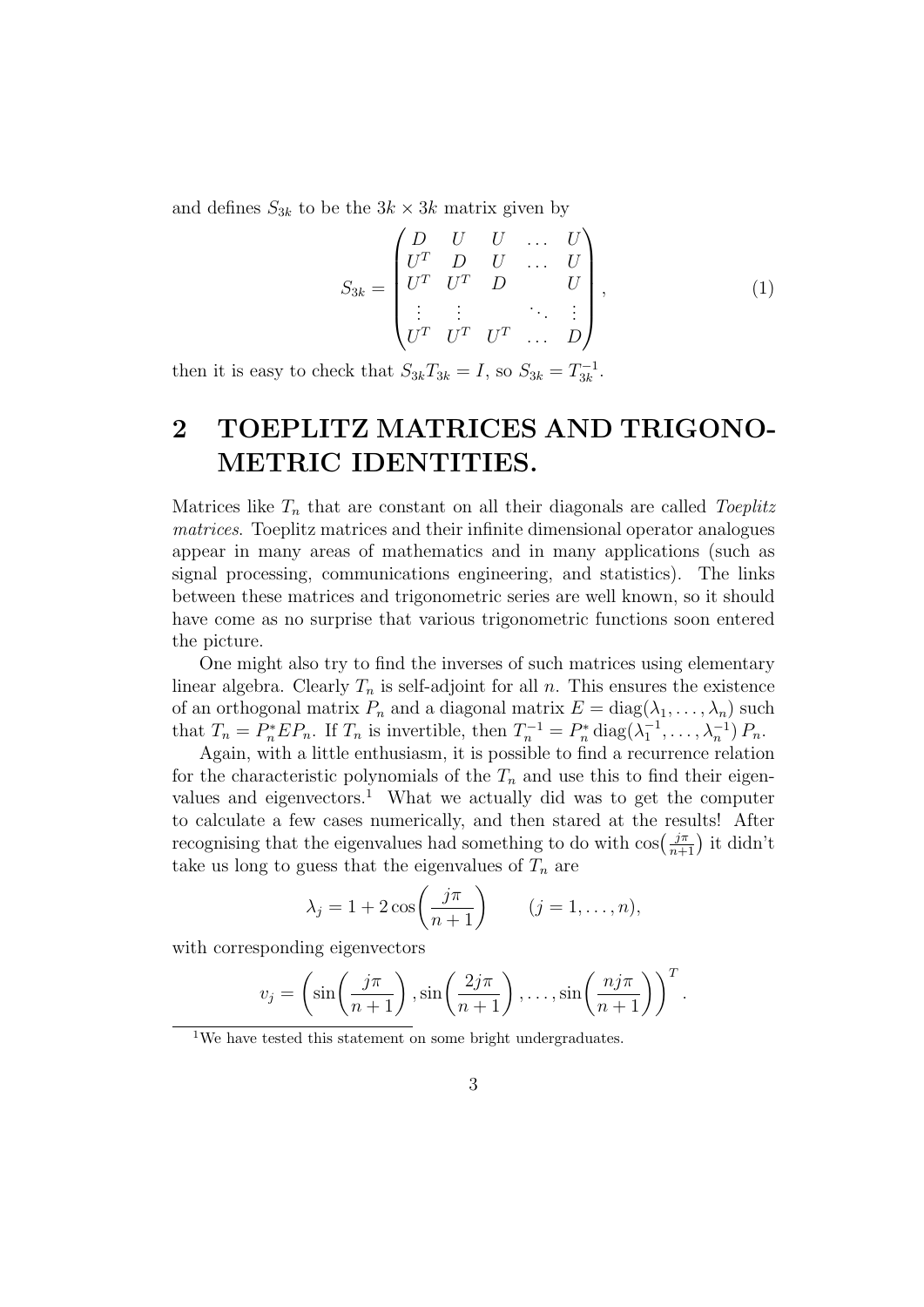and defines  $S_{3k}$  to be the  $3k \times 3k$  matrix given by

$$
S_{3k} = \begin{pmatrix} D & U & U & \dots & U \\ U^T & D & U & \dots & U \\ U^T & U^T & D & & U \\ \vdots & \vdots & & \ddots & \vdots \\ U^T & U^T & U^T & \dots & D \end{pmatrix},
$$
(1)

then it is easy to check that  $S_{3k}T_{3k} = I$ , so  $S_{3k} = T_{3k}^{-1}$  $\frac{1}{3k}$ .

## 2 TOEPLITZ MATRICES AND TRIGONO-METRIC IDENTITIES.

Matrices like  $T_n$  that are constant on all their diagonals are called Toeplitz matrices. Toeplitz matrices and their infinite dimensional operator analogues appear in many areas of mathematics and in many applications (such as signal processing, communications engineering, and statistics). The links between these matrices and trigonometric series are well known, so it should have come as no surprise that various trigonometric functions soon entered the picture.

One might also try to find the inverses of such matrices using elementary linear algebra. Clearly  $T_n$  is self-adjoint for all n. This ensures the existence of an orthogonal matrix  $P_n$  and a diagonal matrix  $E = \text{diag}(\lambda_1, \dots, \lambda_n)$  such that  $T_n = P_n^* E P_n$ . If  $T_n$  is invertible, then  $T_n^{-1} = P_n^* \text{diag}(\lambda_1^{-1}, \dots, \lambda_n^{-1}) P_n$ .

Again, with a little enthusiasm, it is possible to find a recurrence relation for the characteristic polynomials of the  $T_n$  and use this to find their eigenvalues and eigenvectors.<sup>1</sup> What we actually did was to get the computer to calculate a few cases numerically, and then stared at the results! After recognising that the eigenvalues had something to do with  $\cos\left(\frac{j\pi}{n+1}\right)$  it didn't take us long to guess that the eigenvalues of  $T_n$  are

$$
\lambda_j = 1 + 2\cos\left(\frac{j\pi}{n+1}\right) \qquad (j = 1, \dots, n),
$$

with corresponding eigenvectors

$$
v_j = \left(\sin\left(\frac{j\pi}{n+1}\right), \sin\left(\frac{2j\pi}{n+1}\right), \dots, \sin\left(\frac{n j\pi}{n+1}\right)\right)^T.
$$

<sup>&</sup>lt;sup>1</sup>We have tested this statement on some bright undergraduates.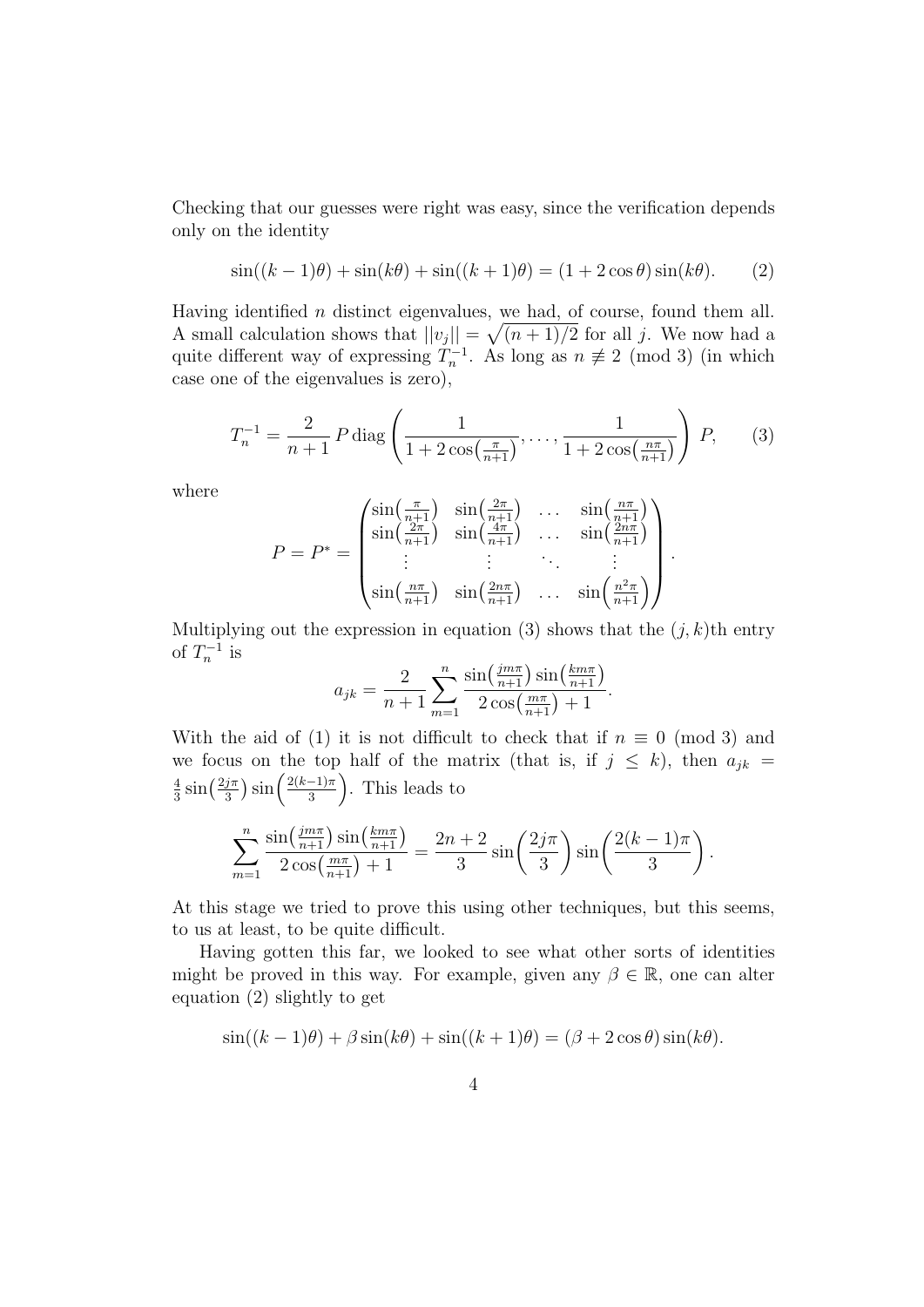Checking that our guesses were right was easy, since the verification depends only on the identity

$$
\sin((k-1)\theta) + \sin(k\theta) + \sin((k+1)\theta) = (1+2\cos\theta)\sin(k\theta). \tag{2}
$$

Having identified  $n$  distinct eigenvalues, we had, of course, found them all. A small calculation shows that  $||v_j|| = \sqrt{(n+1)/2}$  for all j. We now had a quite different way of expressing  $T_n^{-1}$ . As long as  $n \neq 2 \pmod{3}$  (in which case one of the eigenvalues is zero),

$$
T_n^{-1} = \frac{2}{n+1} P \operatorname{diag}\left(\frac{1}{1 + 2\cos\left(\frac{\pi}{n+1}\right)}, \dots, \frac{1}{1 + 2\cos\left(\frac{n\pi}{n+1}\right)}\right) P,\qquad(3)
$$

where

$$
P = P^* = \begin{pmatrix} \sin\left(\frac{\pi}{n+1}\right) & \sin\left(\frac{2\pi}{n+1}\right) & \dots & \sin\left(\frac{n\pi}{n+1}\right) \\ \sin\left(\frac{2\pi}{n+1}\right) & \sin\left(\frac{4\pi}{n+1}\right) & \dots & \sin\left(\frac{2n\pi}{n+1}\right) \\ \vdots & \vdots & \ddots & \vdots \\ \sin\left(\frac{n\pi}{n+1}\right) & \sin\left(\frac{2n\pi}{n+1}\right) & \dots & \sin\left(\frac{n^2\pi}{n+1}\right) \end{pmatrix}.
$$

Multiplying out the expression in equation (3) shows that the  $(j, k)$ th entry of  $T_n^{-1}$  is

$$
a_{jk} = \frac{2}{n+1} \sum_{m=1}^{n} \frac{\sin(\frac{jm\pi}{n+1})\sin(\frac{km\pi}{n+1})}{2\cos(\frac{m\pi}{n+1}) + 1}.
$$

With the aid of (1) it is not difficult to check that if  $n \equiv 0 \pmod{3}$  and we focus on the top half of the matrix (that is, if  $j \leq k$ ), then  $a_{ik}$  = 4  $rac{4}{3}\sin\left(\frac{2j\pi}{3}\right)$  $\frac{j\pi}{3}$ ) sin $\left(\frac{2(k-1)\pi}{3}\right)$  $\frac{-1}{3}$ . This leads to

$$
\sum_{m=1}^{n} \frac{\sin(\frac{jm\pi}{n+1})\sin(\frac{km\pi}{n+1})}{2\cos(\frac{m\pi}{n+1})+1} = \frac{2n+2}{3}\sin\left(\frac{2j\pi}{3}\right)\sin\left(\frac{2(k-1)\pi}{3}\right).
$$

At this stage we tried to prove this using other techniques, but this seems, to us at least, to be quite difficult.

Having gotten this far, we looked to see what other sorts of identities might be proved in this way. For example, given any  $\beta \in \mathbb{R}$ , one can alter equation (2) slightly to get

$$
\sin((k-1)\theta) + \beta \sin(k\theta) + \sin((k+1)\theta) = (\beta + 2\cos\theta)\sin(k\theta).
$$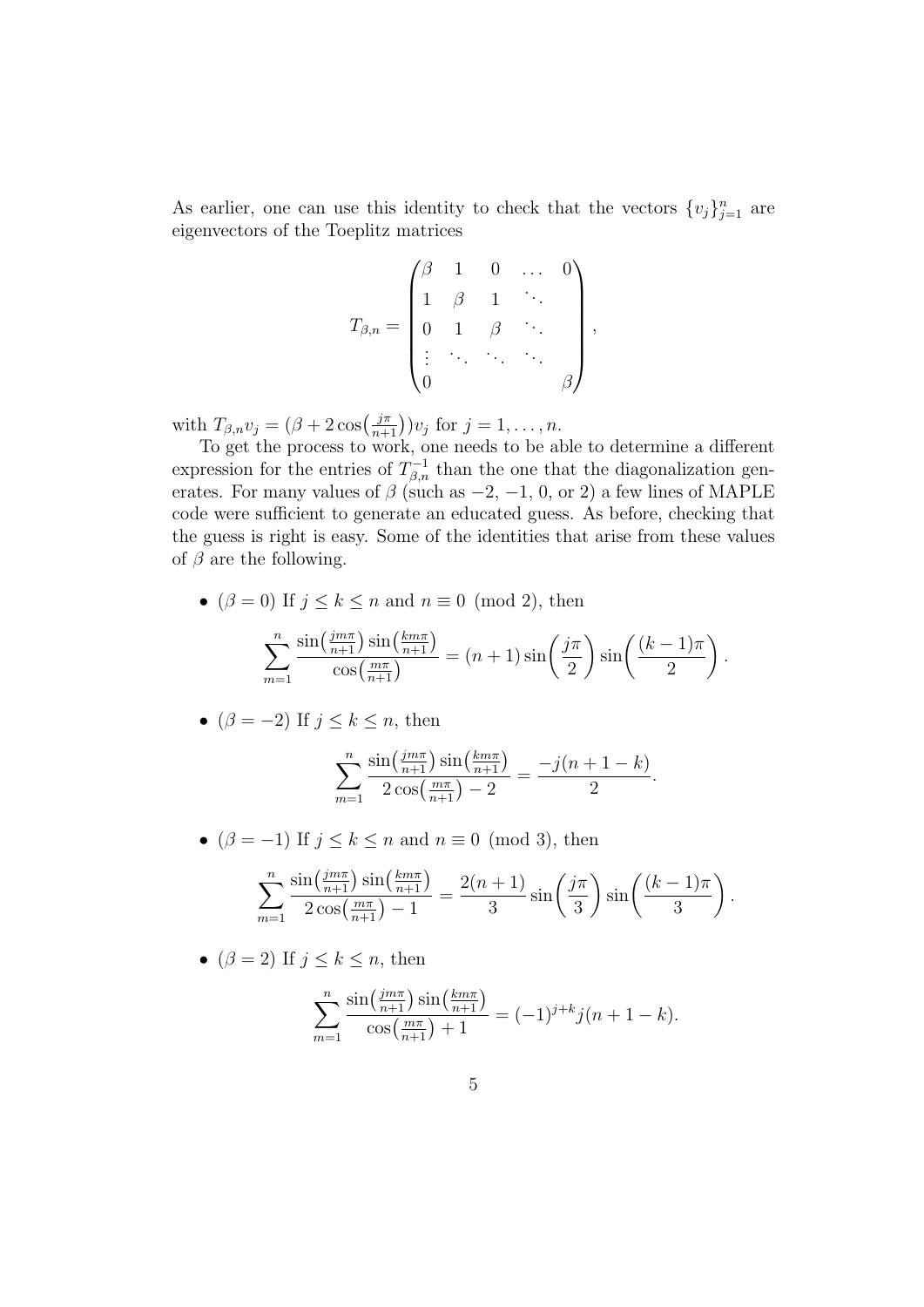As earlier, one can use this identity to check that the vectors  $\{v_j\}_{j=1}^n$  are eigenvectors of the Toeplitz matrices

$$
T_{\beta,n} = \begin{pmatrix} \beta & 1 & 0 & \dots & 0 \\ 1 & \beta & 1 & \ddots & \\ 0 & 1 & \beta & \ddots & \\ \vdots & \ddots & \ddots & \ddots & \\ 0 & & & & \beta \end{pmatrix},
$$

with  $T_{\beta,n}v_j = (\beta + 2\cos\left(\frac{j\pi}{n+1}\right))v_j$  for  $j = 1, \ldots, n$ .

To get the process to work, one needs to be able to determine a different expression for the entries of  $T_{\beta,n}^{-1}$  than the one that the diagonalization generates. For many values of  $\beta$  (such as  $-2$ ,  $-1$ , 0, or 2) a few lines of MAPLE code were sufficient to generate an educated guess. As before, checking that the guess is right is easy. Some of the identities that arise from these values of  $\beta$  are the following.

•  $(\beta = 0)$  If  $j \leq k \leq n$  and  $n \equiv 0 \pmod{2}$ , then

$$
\sum_{m=1}^{n} \frac{\sin\left(\frac{im\pi}{n+1}\right)\sin\left(\frac{km\pi}{n+1}\right)}{\cos\left(\frac{m\pi}{n+1}\right)} = (n+1)\sin\left(\frac{j\pi}{2}\right)\sin\left(\frac{(k-1)\pi}{2}\right).
$$

•  $(\beta = -2)$  If  $j \leq k \leq n$ , then

$$
\sum_{m=1}^{n} \frac{\sin\left(\frac{jm\pi}{n+1}\right) \sin\left(\frac{km\pi}{n+1}\right)}{2\cos\left(\frac{m\pi}{n+1}\right) - 2} = \frac{-j(n+1-k)}{2}.
$$

• ( $\beta = -1$ ) If  $j \le k \le n$  and  $n \equiv 0 \pmod{3}$ , then

$$
\sum_{m=1}^{n} \frac{\sin\left(\frac{im\pi}{n+1}\right)\sin\left(\frac{km\pi}{n+1}\right)}{2\cos\left(\frac{m\pi}{n+1}\right)-1} = \frac{2(n+1)}{3}\sin\left(\frac{j\pi}{3}\right)\sin\left(\frac{(k-1)\pi}{3}\right).
$$

•  $(\beta = 2)$  If  $j \leq k \leq n$ , then

$$
\sum_{m=1}^{n} \frac{\sin(\frac{im\pi}{n+1})\sin(\frac{km\pi}{n+1})}{\cos(\frac{m\pi}{n+1}) + 1} = (-1)^{j+k} j(n+1-k).
$$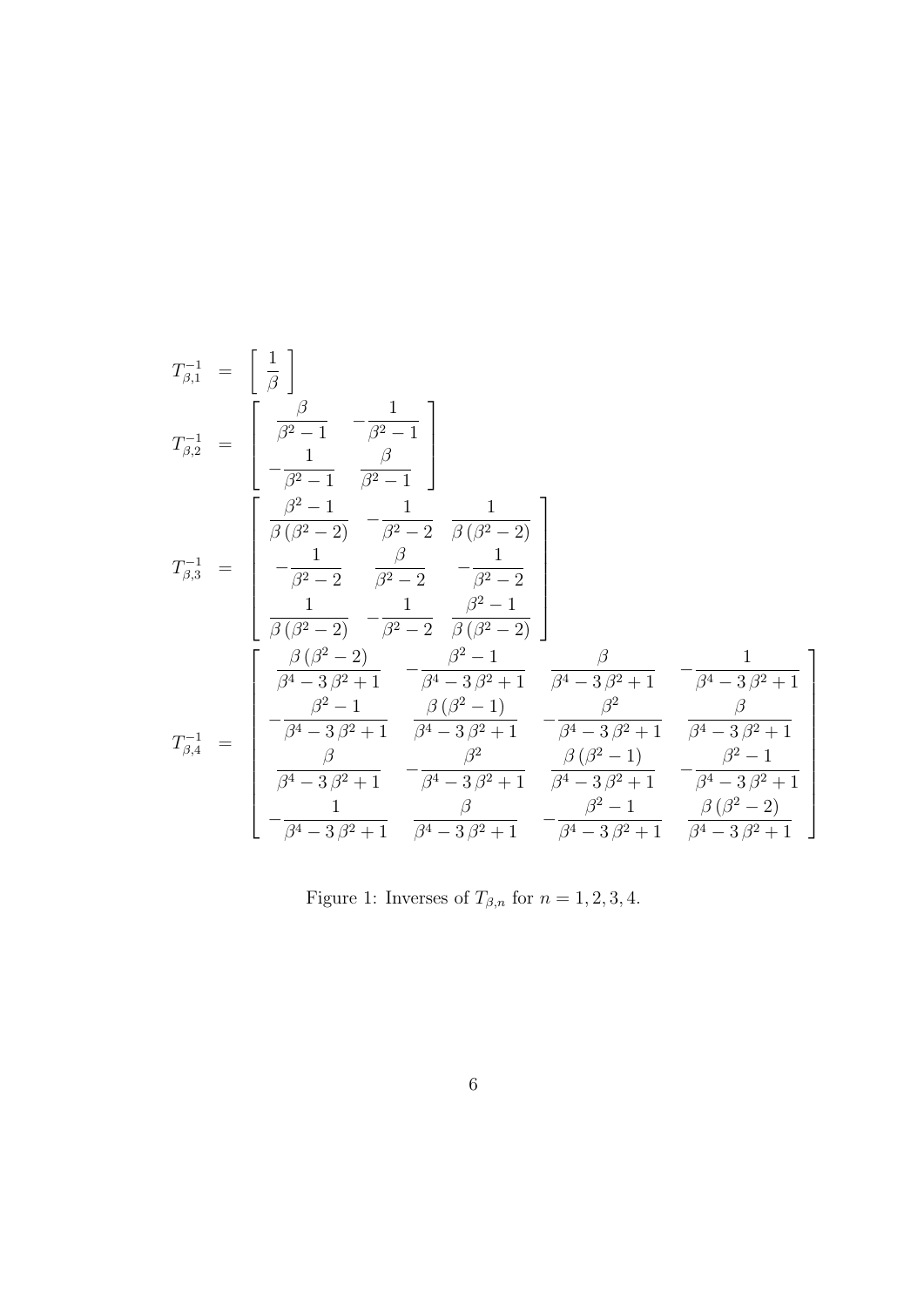$$
T_{\beta,1}^{-1} = \begin{bmatrix} \frac{1}{\beta} \end{bmatrix}
$$
  
\n
$$
T_{\beta,2}^{-1} = \begin{bmatrix} \frac{\beta}{\beta^2 - 1} & -\frac{1}{\beta^2 - 1} \\ -\frac{1}{\beta^2 - 1} & \frac{\beta}{\beta^2 - 1} \end{bmatrix}
$$
  
\n
$$
T_{\beta,3}^{-1} = \begin{bmatrix} \frac{\beta^2 - 1}{\beta^2 - 2} & -\frac{1}{\beta^2 - 2} & \frac{1}{\beta(\beta^2 - 2)} \\ -\frac{1}{\beta^2 - 2} & \frac{\beta}{\beta^2 - 2} & -\frac{1}{\beta^2 - 2} \\ \frac{1}{\beta(\beta^2 - 2)} & -\frac{1}{\beta^2 - 2} & \frac{\beta^2 - 1}{\beta(\beta^2 - 2)} \end{bmatrix}
$$
  
\n
$$
T_{\beta,4}^{-1} = \begin{bmatrix} \frac{\beta(\beta^2 - 2)}{\beta^2 - 1} & -\frac{\beta^2 - 1}{\beta^4 - 3\beta^2 + 1} & \frac{\beta}{\beta^4 - 3\beta^2 + 1} & -\frac{1}{\beta^4 - 3\beta^2 + 1} \\ -\frac{\beta^2 - 1}{\beta^4 - 3\beta^2 + 1} & \frac{\beta(\beta^2 - 1)}{\beta^4 - 3\beta^2 + 1} & -\frac{\beta^2}{\beta^4 - 3\beta^2 + 1} & \frac{\beta}{\beta^4 - 3\beta^2 + 1} \\ \frac{\beta}{\beta^4 - 3\beta^2 + 1} & -\frac{\beta^2}{\beta^4 - 3\beta^2 + 1} & \frac{\beta(\beta^2 - 1)}{\beta^4 - 3\beta^2 + 1} & -\frac{\beta^2 - 1}{\beta^4 - 3\beta^2 + 1} \\ -\frac{1}{\beta^4 - 3\beta^2 + 1} & \frac{\beta}{\beta^4 - 3\beta^2 + 1} & -\frac{\beta^2 - 1}{\beta^4 - 3\beta^2 + 1} & \frac{\beta(\beta^2 - 2)}{\beta^4 - 3\beta^2 + 1} \end{bmatrix}
$$

Figure 1: Inverses of  $T_{\beta,n}$  for  $n = 1, 2, 3, 4$ .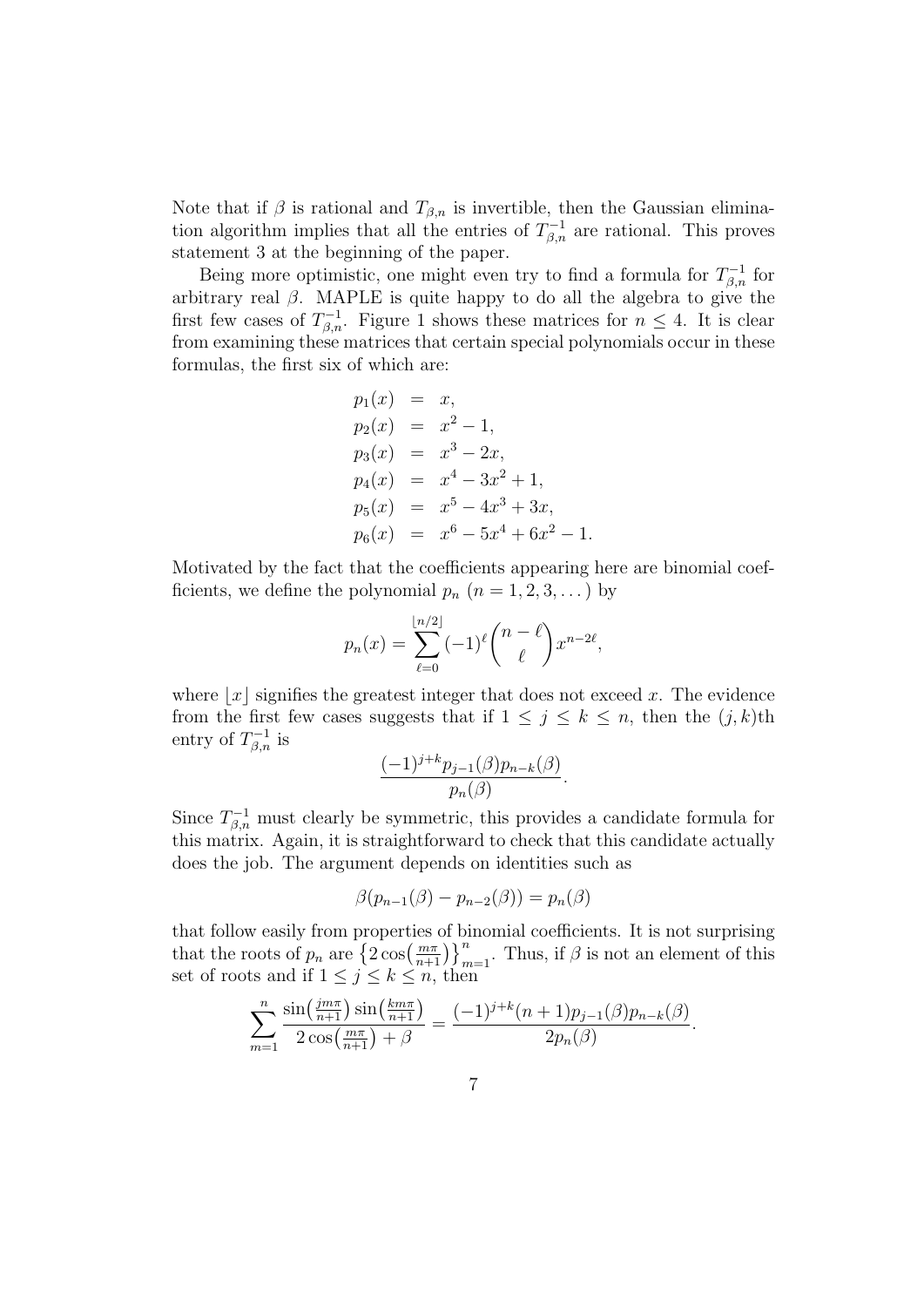Note that if  $\beta$  is rational and  $T_{\beta,n}$  is invertible, then the Gaussian elimination algorithm implies that all the entries of  $T_{\beta,n}^{-1}$  are rational. This proves statement 3 at the beginning of the paper.

Being more optimistic, one might even try to find a formula for  $T_{\beta,n}^{-1}$  for arbitrary real  $\beta$ . MAPLE is quite happy to do all the algebra to give the first few cases of  $T_{\beta,n}^{-1}$ . Figure 1 shows these matrices for  $n \leq 4$ . It is clear from examining these matrices that certain special polynomials occur in these formulas, the first six of which are:

$$
p_1(x) = x,
$$
  
\n
$$
p_2(x) = x^2 - 1,
$$
  
\n
$$
p_3(x) = x^3 - 2x,
$$
  
\n
$$
p_4(x) = x^4 - 3x^2 + 1,
$$
  
\n
$$
p_5(x) = x^5 - 4x^3 + 3x,
$$
  
\n
$$
p_6(x) = x^6 - 5x^4 + 6x^2 - 1.
$$

Motivated by the fact that the coefficients appearing here are binomial coefficients, we define the polynomial  $p_n$   $(n = 1, 2, 3, ...)$  by

$$
p_n(x) = \sum_{\ell=0}^{\lfloor n/2 \rfloor} (-1)^{\ell} {n - \ell \choose \ell} x^{n-2\ell},
$$

where  $|x|$  signifies the greatest integer that does not exceed x. The evidence from the first few cases suggests that if  $1 \leq j \leq k \leq n$ , then the  $(j, k)$ th entry of  $T_{\beta,n}^{-1}$  is

$$
\frac{(-1)^{j+k}p_{j-1}(\beta)p_{n-k}(\beta)}{p_n(\beta)}.
$$

Since  $T_{\beta,n}^{-1}$  must clearly be symmetric, this provides a candidate formula for this matrix. Again, it is straightforward to check that this candidate actually does the job. The argument depends on identities such as

$$
\beta(p_{n-1}(\beta) - p_{n-2}(\beta)) = p_n(\beta)
$$

that follow easily from properties of binomial coefficients. It is not surprising that the roots of  $p_n$  are  $\left\{2\cos\left(\frac{m\pi}{n+1}\right)\right\}_{m=1}^n$ . Thus, if  $\beta$  is not an element of this set of roots and if  $1 \leq j \leq k \leq n$ , then

$$
\sum_{m=1}^{n} \frac{\sin(\frac{jm\pi}{n+1})\sin(\frac{km\pi}{n+1})}{2\cos(\frac{m\pi}{n+1})+\beta} = \frac{(-1)^{j+k}(n+1)p_{j-1}(\beta)p_{n-k}(\beta)}{2p_n(\beta)}.
$$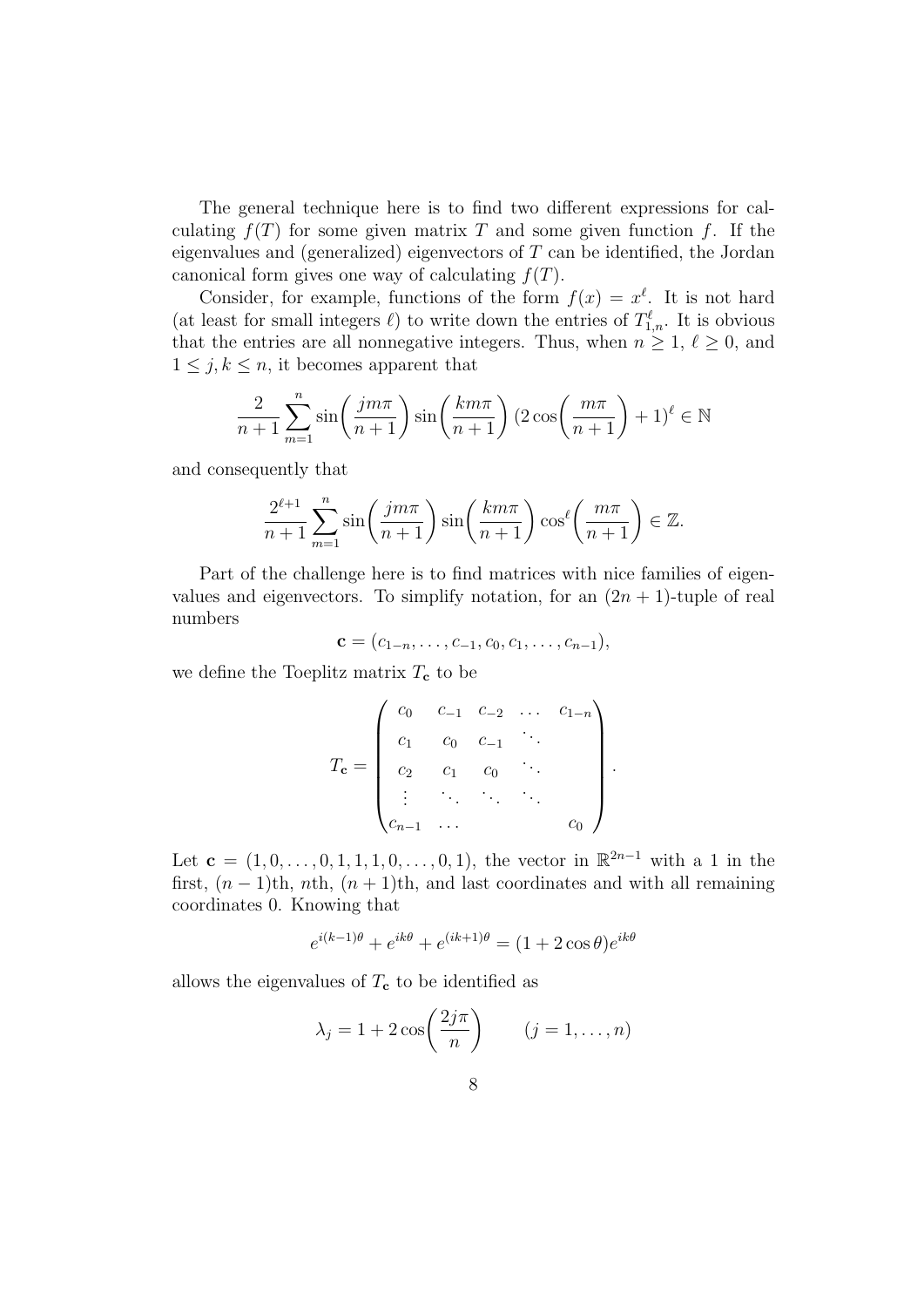The general technique here is to find two different expressions for calculating  $f(T)$  for some given matrix T and some given function f. If the eigenvalues and (generalized) eigenvectors of  $T$  can be identified, the Jordan canonical form gives one way of calculating  $f(T)$ .

Consider, for example, functions of the form  $f(x) = x^{\ell}$ . It is not hard (at least for small integers  $\ell$ ) to write down the entries of  $T_{1,n}^{\ell}$ . It is obvious that the entries are all nonnegative integers. Thus, when  $n \geq 1, \ell \geq 0$ , and  $1 \leq j, k \leq n$ , it becomes apparent that

$$
\frac{2}{n+1} \sum_{m=1}^{n} \sin\left(\frac{jm\pi}{n+1}\right) \sin\left(\frac{km\pi}{n+1}\right) (2\cos\left(\frac{m\pi}{n+1}\right) + 1)^{\ell} \in \mathbb{N}
$$

and consequently that

$$
\frac{2^{\ell+1}}{n+1} \sum_{m=1}^{n} \sin\left(\frac{jm\pi}{n+1}\right) \sin\left(\frac{km\pi}{n+1}\right) \cos^{\ell}\left(\frac{m\pi}{n+1}\right) \in \mathbb{Z}.
$$

Part of the challenge here is to find matrices with nice families of eigenvalues and eigenvectors. To simplify notation, for an  $(2n + 1)$ -tuple of real numbers

$$
\mathbf{c} = (c_{1-n}, \ldots, c_{-1}, c_0, c_1, \ldots, c_{n-1}),
$$

we define the Toeplitz matrix  $T_c$  to be

$$
T_{\mathbf{c}} = \begin{pmatrix} c_0 & c_{-1} & c_{-2} & \dots & c_{1-n} \\ c_1 & c_0 & c_{-1} & \dots & \\ c_2 & c_1 & c_0 & \dots & \\ \vdots & \vdots & \ddots & \vdots & \vdots \\ c_{n-1} & \dots & & & & c_0 \end{pmatrix}.
$$

Let  $\mathbf{c} = (1, 0, \ldots, 0, 1, 1, 1, 0, \ldots, 0, 1)$ , the vector in  $\mathbb{R}^{2n-1}$  with a 1 in the first,  $(n-1)$ th, nth,  $(n+1)$ th, and last coordinates and with all remaining coordinates 0. Knowing that

$$
e^{i(k-1)\theta} + e^{ik\theta} + e^{(ik+1)\theta} = (1+2\cos\theta)e^{ik\theta}
$$

allows the eigenvalues of  $T_c$  to be identified as

$$
\lambda_j = 1 + 2\cos\left(\frac{2j\pi}{n}\right) \qquad (j = 1, \dots, n)
$$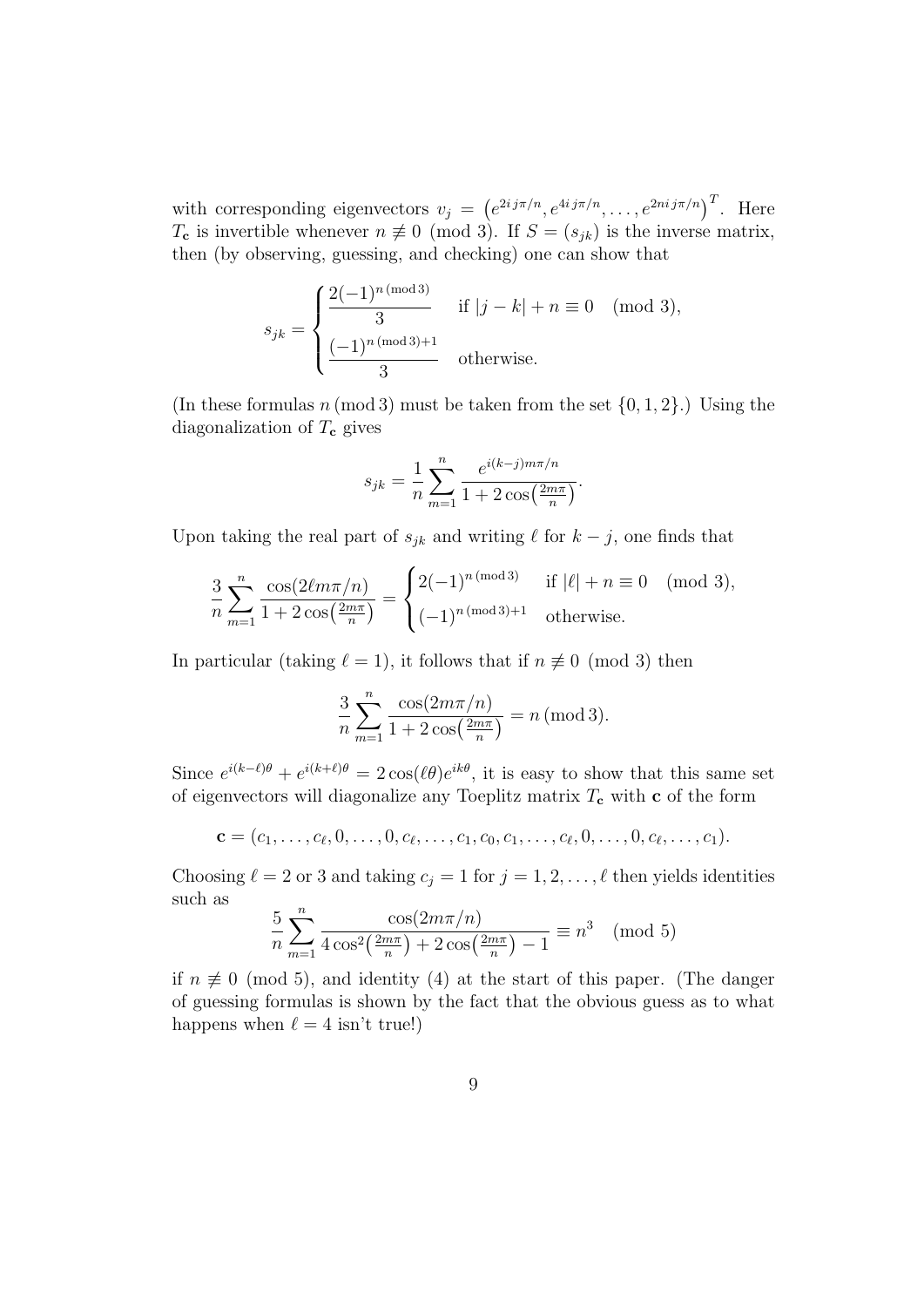with corresponding eigenvectors  $v_j = (e^{2i j \pi/n}, e^{4i j \pi/n}, \dots, e^{2ni j \pi/n})^T$ . Here  $T_c$  is invertible whenever  $n \neq 0 \pmod{3}$ . If  $S = (s_{ik})$  is the inverse matrix, then (by observing, guessing, and checking) one can show that

$$
s_{jk} = \begin{cases} \frac{2(-1)^n (\text{mod } 3)}{3} & \text{if } |j - k| + n \equiv 0 \pmod{3}, \\ \frac{(-1)^n (\text{mod } 3) + 1}{3} & \text{otherwise.} \end{cases}
$$

(In these formulas  $n \pmod{3}$  must be taken from the set  $\{0, 1, 2\}$ .) Using the diagonalization of  $T_c$  gives

$$
s_{jk} = \frac{1}{n} \sum_{m=1}^{n} \frac{e^{i(k-j)m\pi/n}}{1 + 2\cos\left(\frac{2m\pi}{n}\right)}.
$$

Upon taking the real part of  $s_{jk}$  and writing  $\ell$  for  $k - j$ , one finds that

$$
\frac{3}{n} \sum_{m=1}^{n} \frac{\cos(2\ell m \pi/n)}{1 + 2\cos(\frac{2m\pi}{n})} = \begin{cases} 2(-1)^{n \pmod{3}} & \text{if } |\ell| + n \equiv 0 \pmod{3}, \\ (-1)^{n \pmod{3}+1} & \text{otherwise.} \end{cases}
$$

In particular (taking  $\ell = 1$ ), it follows that if  $n \not\equiv 0 \pmod{3}$  then

$$
\frac{3}{n} \sum_{m=1}^{n} \frac{\cos(2m\pi/n)}{1 + 2\cos(\frac{2m\pi}{n})} = n \text{ (mod 3)}.
$$

Since  $e^{i(k-\ell)\theta} + e^{i(k+\ell)\theta} = 2\cos(\ell\theta)e^{ik\theta}$ , it is easy to show that this same set of eigenvectors will diagonalize any Toeplitz matrix  $T_c$  with c of the form

$$
\mathbf{c} = (c_1, \ldots, c_{\ell}, 0, \ldots, 0, c_{\ell}, \ldots, c_1, c_0, c_1, \ldots, c_{\ell}, 0, \ldots, 0, c_{\ell}, \ldots, c_1).
$$

Choosing  $\ell = 2$  or 3 and taking  $c_j = 1$  for  $j = 1, 2, \ldots, \ell$  then yields identities such as

$$
\frac{5}{n} \sum_{m=1}^{n} \frac{\cos(2m\pi/n)}{4\cos^2(\frac{2m\pi}{n}) + 2\cos(\frac{2m\pi}{n}) - 1} \equiv n^3 \pmod{5}
$$

if  $n \neq 0$  (mod 5), and identity (4) at the start of this paper. (The danger of guessing formulas is shown by the fact that the obvious guess as to what happens when  $\ell = 4$  isn't true!)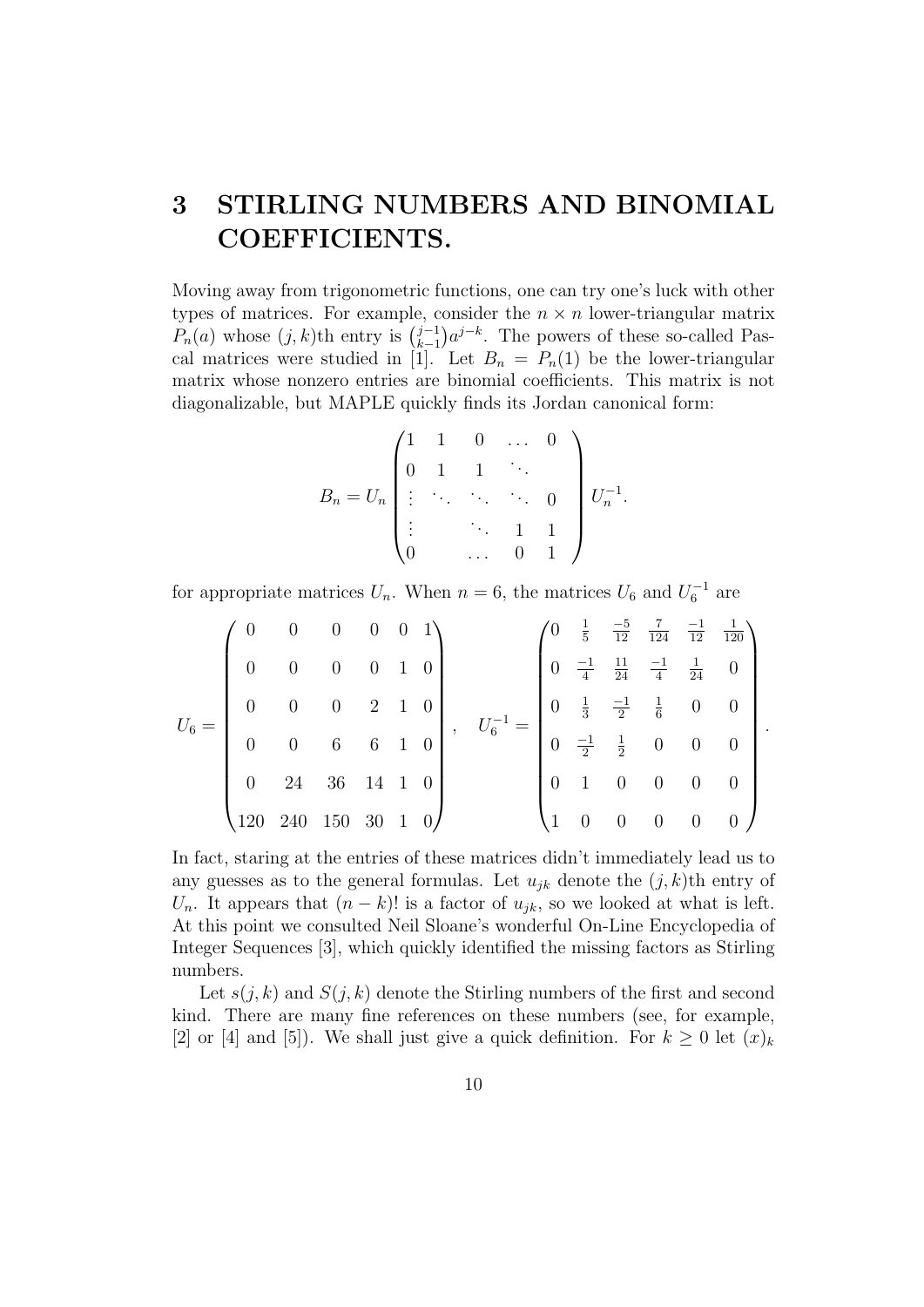## 3 STIRLING NUMBERS AND BINOMIAL COEFFICIENTS.

Moving away from trigonometric functions, one can try one's luck with other types of matrices. For example, consider the  $n \times n$  lower-triangular matrix  $P_n(a)$  whose  $(j,k)$ th entry is  $\binom{j-1}{k-1}$  $_{k-1}^{j-1}$  $a^{j-k}$ . The powers of these so-called Pascal matrices were studied in [1]. Let  $B_n = P_n(1)$  be the lower-triangular matrix whose nonzero entries are binomial coefficients. This matrix is not diagonalizable, but MAPLE quickly finds its Jordan canonical form:

$$
B_n = U_n \begin{pmatrix} 1 & 1 & 0 & \dots & 0 \\ 0 & 1 & 1 & \ddots & \\ \vdots & \ddots & \ddots & \ddots & 0 \\ \vdots & & \ddots & 1 & 1 \\ 0 & & \dots & 0 & 1 \end{pmatrix} U_n^{-1}.
$$

for appropriate matrices  $U_n$ . When  $n = 6$ , the matrices  $U_6$  and  $U_6^{-1}$  are

$$
U_6 = \begin{pmatrix} 0 & 0 & 0 & 0 & 0 & 1 \\ 0 & 0 & 0 & 0 & 1 & 0 \\ 0 & 0 & 0 & 2 & 1 & 0 \\ 0 & 0 & 6 & 6 & 1 & 0 \\ 0 & 24 & 36 & 14 & 1 & 0 \\ 120 & 240 & 150 & 30 & 1 & 0 \end{pmatrix}, \quad U_6^{-1} = \begin{pmatrix} 0 & \frac{1}{5} & \frac{-5}{12} & \frac{7}{124} & \frac{-1}{12} & \frac{1}{120} \\ 0 & \frac{-1}{4} & \frac{11}{24} & \frac{-1}{4} & \frac{1}{24} & 0 \\ 0 & \frac{1}{3} & \frac{-1}{2} & \frac{1}{6} & 0 & 0 \\ 0 & \frac{-1}{2} & \frac{1}{2} & 0 & 0 & 0 \\ 0 & 1 & 0 & 0 & 0 & 0 \\ 1 & 0 & 0 & 0 & 0 & 0 \end{pmatrix}.
$$

In fact, staring at the entries of these matrices didn't immediately lead us to any guesses as to the general formulas. Let  $u_{ik}$  denote the  $(j, k)$ th entry of  $U_n$ . It appears that  $(n-k)!$  is a factor of  $u_{jk}$ , so we looked at what is left. At this point we consulted Neil Sloane's wonderful On-Line Encyclopedia of Integer Sequences [3], which quickly identified the missing factors as Stirling numbers.

Let  $s(j, k)$  and  $S(j, k)$  denote the Stirling numbers of the first and second kind. There are many fine references on these numbers (see, for example, [2] or [4] and [5]). We shall just give a quick definition. For  $k \geq 0$  let  $(x)_k$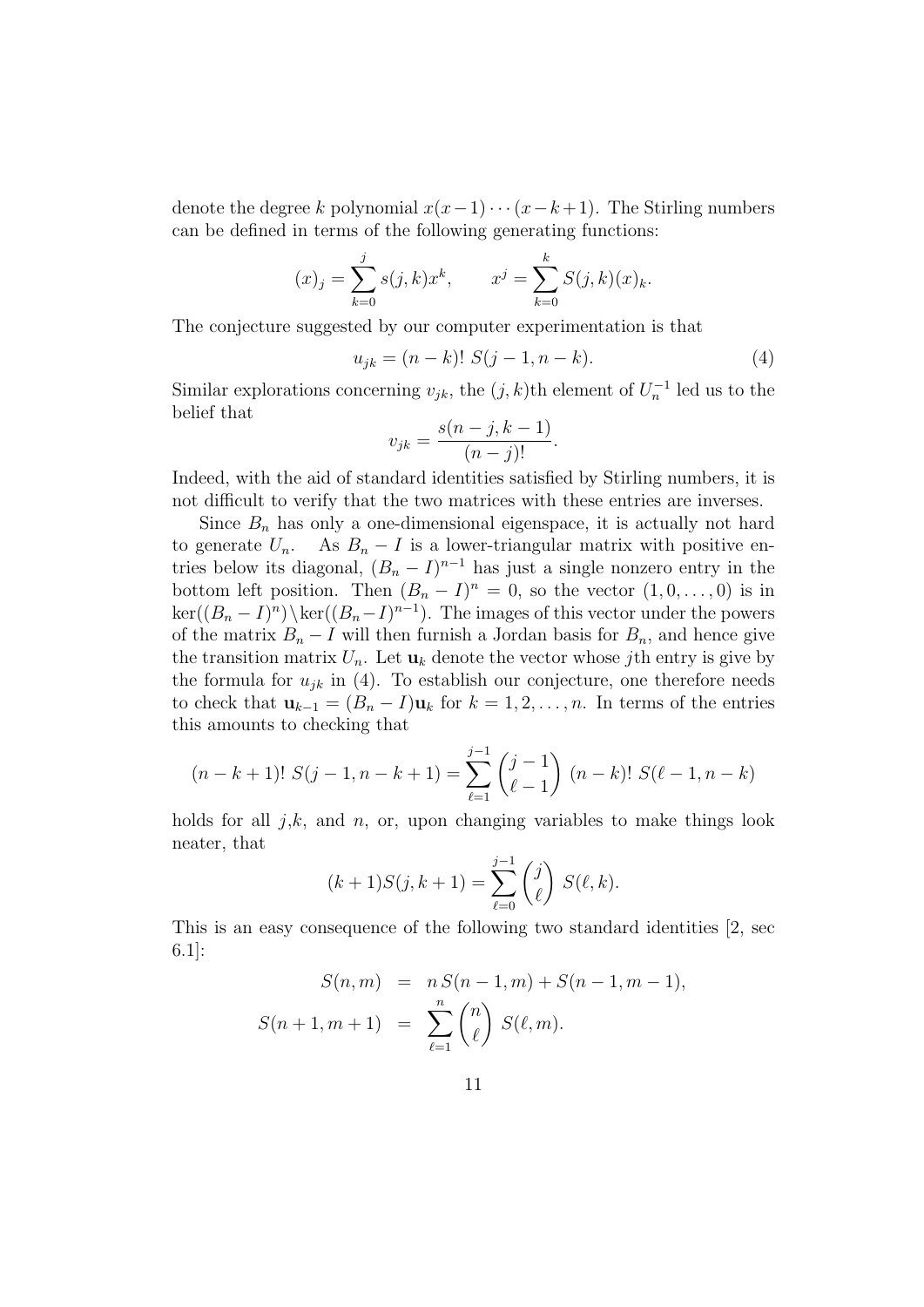denote the degree k polynomial  $x(x-1)\cdots(x-k+1)$ . The Stirling numbers can be defined in terms of the following generating functions:

$$
(x)_j = \sum_{k=0}^j s(j,k)x^k
$$
,  $x^j = \sum_{k=0}^k S(j,k)(x)_k$ .

The conjecture suggested by our computer experimentation is that

$$
u_{jk} = (n-k)! S(j-1, n-k).
$$
 (4)

Similar explorations concerning  $v_{jk}$ , the  $(j, k)$ th element of  $U_n^{-1}$  led us to the belief that

$$
v_{jk} = \frac{s(n-j, k-1)}{(n-j)!}.
$$

Indeed, with the aid of standard identities satisfied by Stirling numbers, it is not difficult to verify that the two matrices with these entries are inverses.

Since  $B_n$  has only a one-dimensional eigenspace, it is actually not hard to generate  $U_n$ . As  $B_n - I$  is a lower-triangular matrix with positive entries below its diagonal,  $(B_n - I)^{n-1}$  has just a single nonzero entry in the bottom left position. Then  $(B_n - I)^n = 0$ , so the vector  $(1, 0, \ldots, 0)$  is in  $\ker((B_n - I)^n)\setminus \ker((B_n - I)^{n-1})$ . The images of this vector under the powers of the matrix  $B_n - I$  will then furnish a Jordan basis for  $B_n$ , and hence give the transition matrix  $U_n$ . Let  $\mathbf{u}_k$  denote the vector whose *j*th entry is give by the formula for  $u_{jk}$  in (4). To establish our conjecture, one therefore needs to check that  $\mathbf{u}_{k-1} = (B_n - I)\mathbf{u}_k$  for  $k = 1, 2, \ldots, n$ . In terms of the entries this amounts to checking that

$$
(n-k+1)! S(j-1, n-k+1) = \sum_{\ell=1}^{j-1} {j-1 \choose \ell-1} (n-k)! S(\ell-1, n-k)
$$

holds for all  $j,k$ , and  $n$ , or, upon changing variables to make things look neater, that

$$
(k+1)S(j,k+1) = \sum_{\ell=0}^{j-1} \binom{j}{\ell} S(\ell,k).
$$

This is an easy consequence of the following two standard identities [2, sec 6.1]:

$$
S(n, m) = n S(n - 1, m) + S(n - 1, m - 1),
$$
  

$$
S(n + 1, m + 1) = \sum_{\ell=1}^{n} {n \choose \ell} S(\ell, m).
$$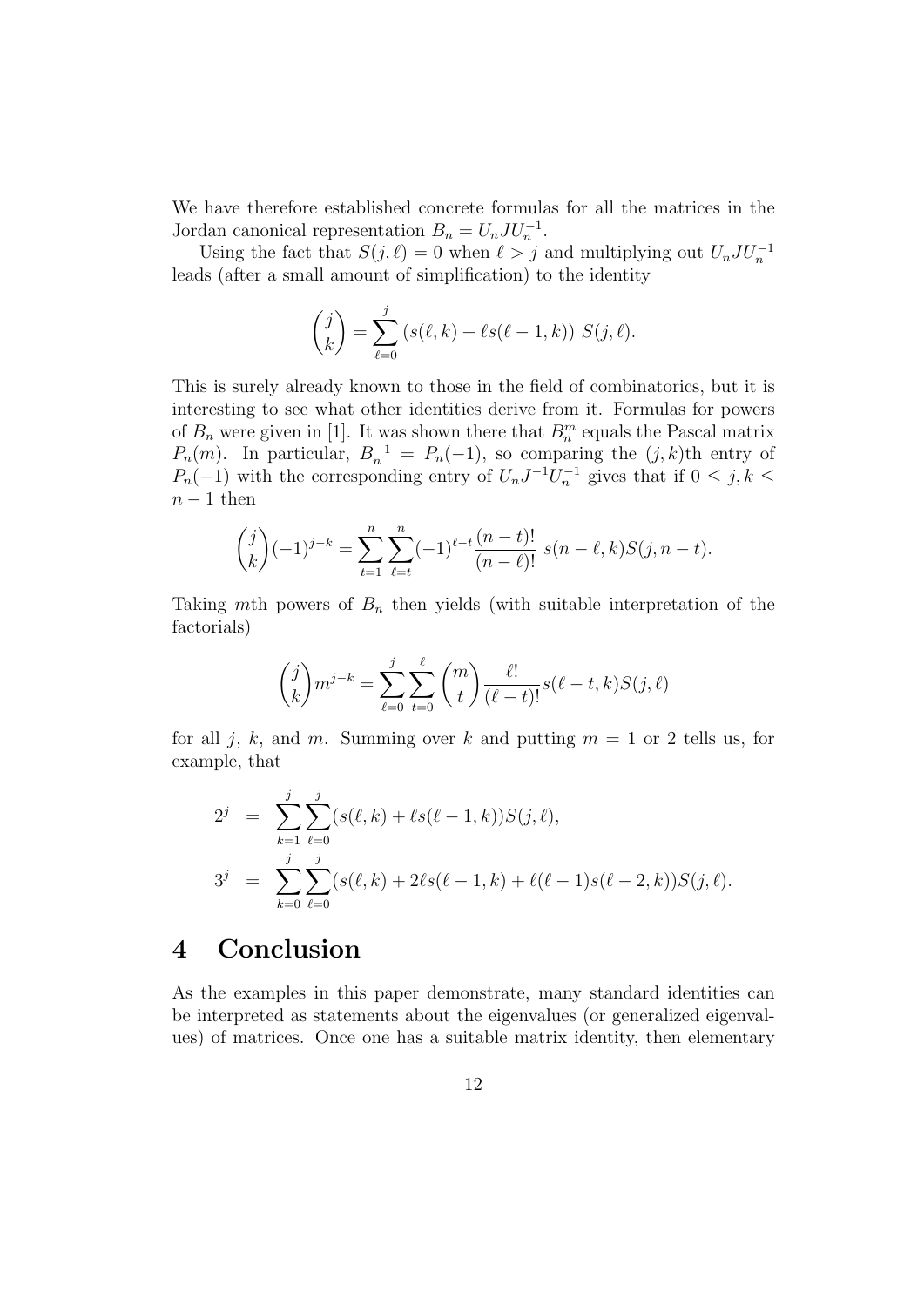We have therefore established concrete formulas for all the matrices in the Jordan canonical representation  $B_n = U_n J U_n^{-1}$ .

Using the fact that  $S(j, \ell) = 0$  when  $\ell > j$  and multiplying out  $U_n J U_n^{-1}$ leads (after a small amount of simplification) to the identity

$$
\binom{j}{k} = \sum_{\ell=0}^{j} (s(\ell, k) + \ell s(\ell - 1, k)) S(j, \ell).
$$

This is surely already known to those in the field of combinatorics, but it is interesting to see what other identities derive from it. Formulas for powers of  $B_n$  were given in [1]. It was shown there that  $B_n^m$  equals the Pascal matrix  $P_n(m)$ . In particular,  $B_n^{-1} = P_n(-1)$ , so comparing the  $(j, k)$ th entry of  $P_n(-1)$  with the corresponding entry of  $U_n J^{-1} U_n^{-1}$  gives that if  $0 \le j, k \le n$  $n-1$  then

$$
\binom{j}{k}(-1)^{j-k} = \sum_{t=1}^n \sum_{\ell=t}^n (-1)^{\ell-t} \frac{(n-t)!}{(n-\ell)!} s(n-\ell,k)S(j,n-t).
$$

Taking mth powers of  $B_n$  then yields (with suitable interpretation of the factorials)

$$
\binom{j}{k} m^{j-k} = \sum_{\ell=0}^j \sum_{t=0}^\ell \binom{m}{t} \frac{\ell!}{(\ell-t)!} s(\ell-t, k) S(j, \ell)
$$

for all j, k, and m. Summing over k and putting  $m = 1$  or 2 tells us, for example, that

$$
2^{j} = \sum_{k=1}^{j} \sum_{\ell=0}^{j} (s(\ell, k) + \ell s(\ell - 1, k)) S(j, \ell),
$$
  
\n
$$
3^{j} = \sum_{k=0}^{j} \sum_{\ell=0}^{j} (s(\ell, k) + 2\ell s(\ell - 1, k) + \ell(\ell - 1)s(\ell - 2, k)) S(j, \ell).
$$

#### 4 Conclusion

As the examples in this paper demonstrate, many standard identities can be interpreted as statements about the eigenvalues (or generalized eigenvalues) of matrices. Once one has a suitable matrix identity, then elementary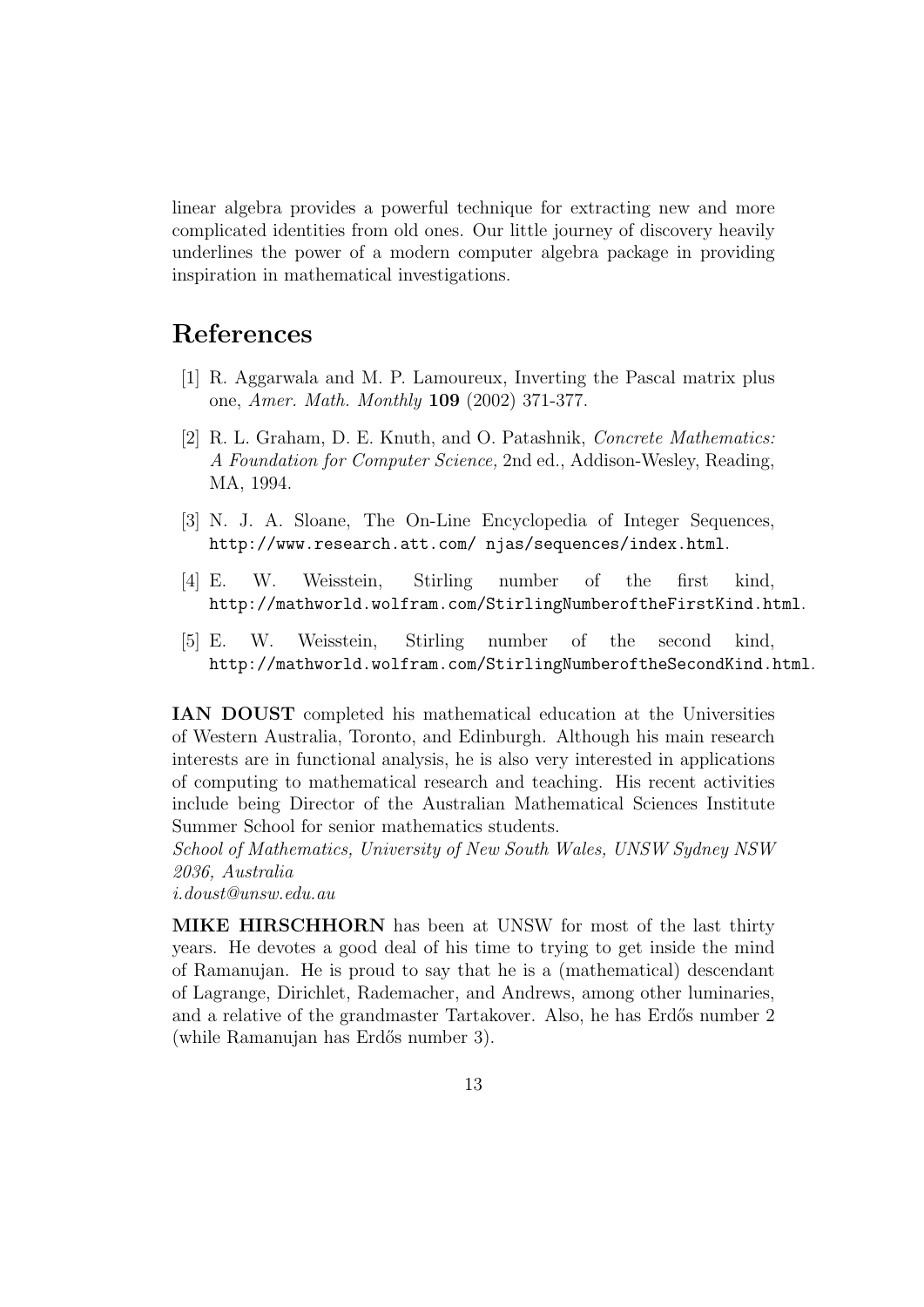linear algebra provides a powerful technique for extracting new and more complicated identities from old ones. Our little journey of discovery heavily underlines the power of a modern computer algebra package in providing inspiration in mathematical investigations.

#### References

- [1] R. Aggarwala and M. P. Lamoureux, Inverting the Pascal matrix plus one, Amer. Math. Monthly 109 (2002) 371-377.
- [2] R. L. Graham, D. E. Knuth, and O. Patashnik, Concrete Mathematics: A Foundation for Computer Science, 2nd ed., Addison-Wesley, Reading, MA, 1994.
- [3] N. J. A. Sloane, The On-Line Encyclopedia of Integer Sequences, http://www.research.att.com/ njas/sequences/index.html.
- [4] E. W. Weisstein, Stirling number of the first kind, http://mathworld.wolfram.com/StirlingNumberoftheFirstKind.html.
- [5] E. W. Weisstein, Stirling number of the second kind, http://mathworld.wolfram.com/StirlingNumberoftheSecondKind.html.

IAN DOUST completed his mathematical education at the Universities of Western Australia, Toronto, and Edinburgh. Although his main research interests are in functional analysis, he is also very interested in applications of computing to mathematical research and teaching. His recent activities include being Director of the Australian Mathematical Sciences Institute Summer School for senior mathematics students.

School of Mathematics, University of New South Wales, UNSW Sydney NSW 2036, Australia

i.doust@unsw.edu.au

MIKE HIRSCHHORN has been at UNSW for most of the last thirty years. He devotes a good deal of his time to trying to get inside the mind of Ramanujan. He is proud to say that he is a (mathematical) descendant of Lagrange, Dirichlet, Rademacher, and Andrews, among other luminaries, and a relative of the grandmaster Tartakover. Also, he has Erdős number 2 (while Ramanujan has Erd˝os number 3).